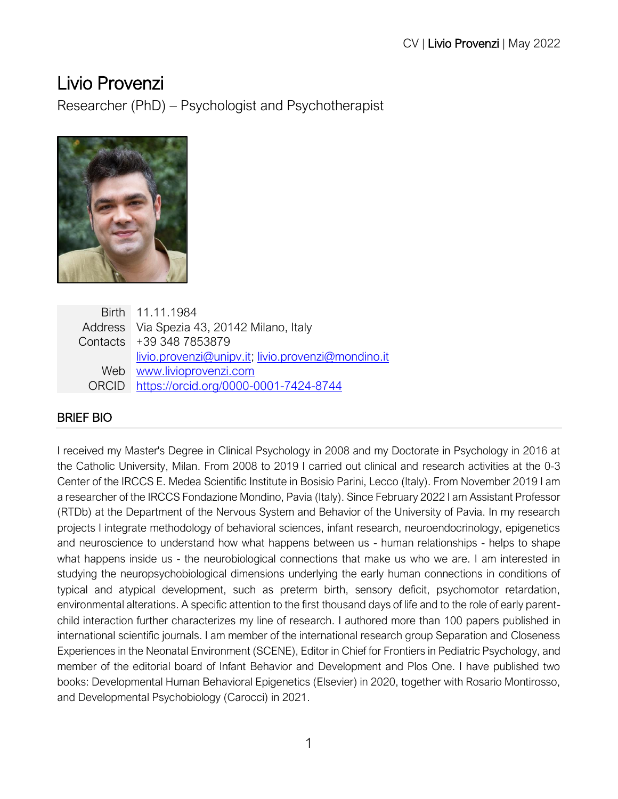# Livio Provenzi

Researcher (PhD) – Psychologist and Psychotherapist



Birth 11.11.1984 Address Via Spezia 43, 20142 Milano, Italy Contacts +39 348 7853879 [livio.provenzi@unipv.it;](mailto:livio.provenzi@unipv.it) [livio.provenzi@mondino.it](mailto:livio.provenzi@mondino.it) Web [www.livioprovenzi.com](http://www.livioprovenzi.com/) ORCID <https://orcid.org/0000-0001-7424-8744>

# BRIEF BIO

I received my Master's Degree in Clinical Psychology in 2008 and my Doctorate in Psychology in 2016 at the Catholic University, Milan. From 2008 to 2019 I carried out clinical and research activities at the 0-3 Center of the IRCCS E. Medea Scientific Institute in Bosisio Parini, Lecco (Italy). From November 2019 I am a researcher of the IRCCS Fondazione Mondino, Pavia (Italy). Since February 2022 I am Assistant Professor (RTDb) at the Department of the Nervous System and Behavior of the University of Pavia. In my research projects I integrate methodology of behavioral sciences, infant research, neuroendocrinology, epigenetics and neuroscience to understand how what happens between us - human relationships - helps to shape what happens inside us - the neurobiological connections that make us who we are. I am interested in studying the neuropsychobiological dimensions underlying the early human connections in conditions of typical and atypical development, such as preterm birth, sensory deficit, psychomotor retardation, environmental alterations. A specific attention to the first thousand days of life and to the role of early parentchild interaction further characterizes my line of research. I authored more than 100 papers published in international scientific journals. I am member of the international research group Separation and Closeness Experiences in the Neonatal Environment (SCENE), Editor in Chief for Frontiers in Pediatric Psychology, and member of the editorial board of Infant Behavior and Development and Plos One. I have published two books: Developmental Human Behavioral Epigenetics (Elsevier) in 2020, together with Rosario Montirosso, and Developmental Psychobiology (Carocci) in 2021.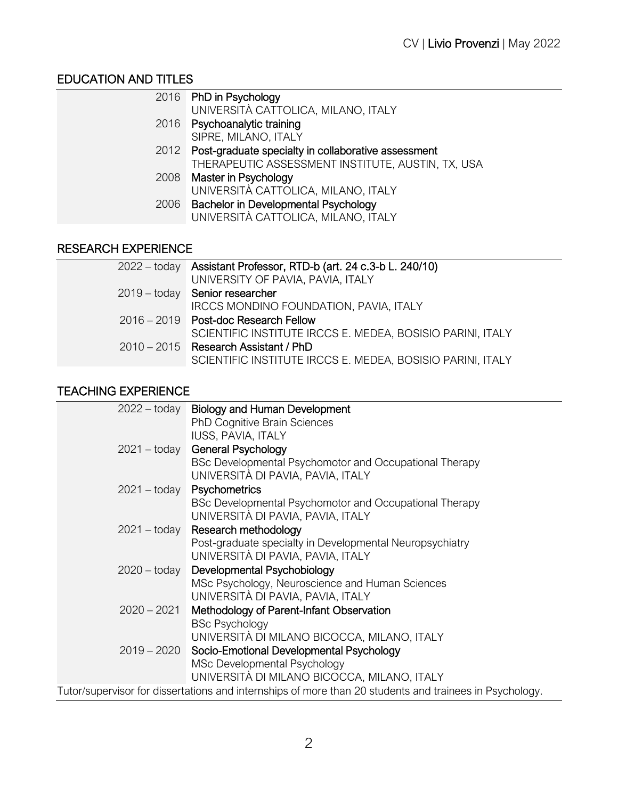# EDUCATION AND TITLES

| 2016 PhD in Psychology                                   |
|----------------------------------------------------------|
| UNIVERSITÀ CATTOLICA, MILANO, ITALY                      |
| 2016 Psychoanalytic training                             |
| SIPRE, MILANO, ITALY                                     |
| 2012 Post-graduate specialty in collaborative assessment |
| THERAPEUTIC ASSESSMENT INSTITUTE, AUSTIN, TX, USA        |
| 2008 Master in Psychology                                |
| UNIVERSITÀ CATTOLICA, MILANO, ITALY                      |
| 2006 Bachelor in Developmental Psychology                |
| UNIVERSITÀ CATTOLICA, MILANO, ITALY                      |
|                                                          |

# RESEARCH EXPERIENCE

| $2022 -$ today Assistant Professor, RTD-b (art. 24 c.3-b L. 240/10) |
|---------------------------------------------------------------------|
| UNIVERSITY OF PAVIA, PAVIA, ITALY                                   |
| $2019 - today$ Senior researcher                                    |
| IRCCS MONDINO FOUNDATION, PAVIA, ITALY                              |
| 2016 – 2019 Post-doc Research Fellow                                |
| SCIENTIFIC INSTITUTE IRCCS E. MEDEA, BOSISIO PARINI, ITALY          |
| 2010 – 2015 Research Assistant / PhD                                |
| SCIENTIFIC INSTITUTE IRCCS E. MEDEA, BOSISIO PARINI, ITALY          |

# TEACHING EXPERIENCE

|                                                                                                         | 2022 – today Biology and Human Development               |  |
|---------------------------------------------------------------------------------------------------------|----------------------------------------------------------|--|
|                                                                                                         | <b>PhD Cognitive Brain Sciences</b>                      |  |
|                                                                                                         | <b>IUSS, PAVIA, ITALY</b>                                |  |
| $2021 -$ today                                                                                          | <b>General Psychology</b>                                |  |
|                                                                                                         | BSc Developmental Psychomotor and Occupational Therapy   |  |
|                                                                                                         | UNIVERSITÀ DI PAVIA, PAVIA, ITALY                        |  |
| $2021 -$ today                                                                                          | Psychometrics                                            |  |
|                                                                                                         | BSc Developmental Psychomotor and Occupational Therapy   |  |
|                                                                                                         | UNIVERSITÀ DI PAVIA, PAVIA, ITALY                        |  |
| $2021 -$ today                                                                                          | Research methodology                                     |  |
|                                                                                                         | Post-graduate specialty in Developmental Neuropsychiatry |  |
|                                                                                                         | UNIVERSITÀ DI PAVIA, PAVIA, ITALY                        |  |
| $2020 -$ today                                                                                          | Developmental Psychobiology                              |  |
|                                                                                                         | MSc Psychology, Neuroscience and Human Sciences          |  |
|                                                                                                         | UNIVERSITÀ DI PAVIA, PAVIA, ITALY                        |  |
| $2020 - 2021$                                                                                           | Methodology of Parent-Infant Observation                 |  |
|                                                                                                         | <b>BSc Psychology</b>                                    |  |
|                                                                                                         | UNIVERSITÀ DI MILANO BICOCCA, MILANO, ITALY              |  |
| $2019 - 2020$                                                                                           | Socio-Emotional Developmental Psychology                 |  |
|                                                                                                         | MSc Developmental Psychology                             |  |
|                                                                                                         | UNIVERSITÀ DI MILANO BICOCCA, MILANO, ITALY              |  |
| Tutor/supervisor for dissertations and internships of more than 20 students and trainees in Psychology. |                                                          |  |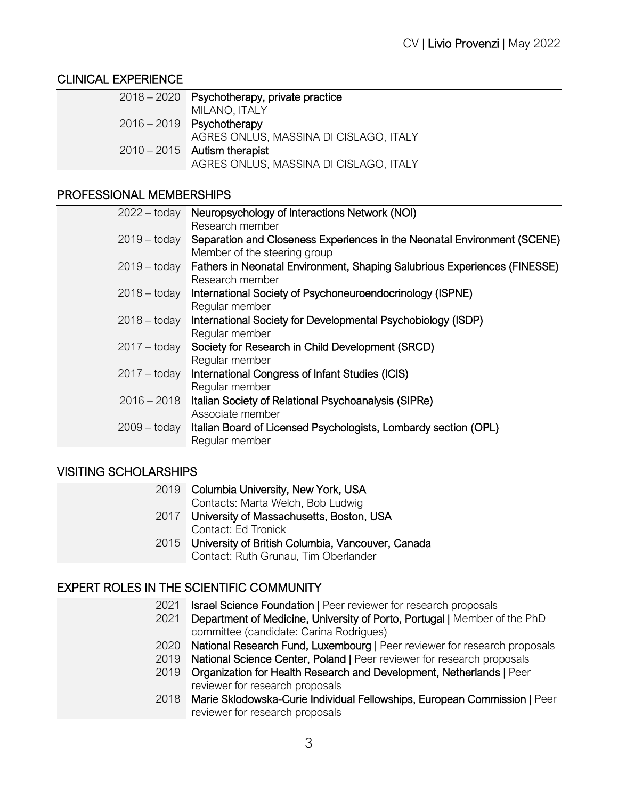# CLINICAL EXPERIENCE

| $2018 - 2020$ | Psychotherapy, private practice        |
|---------------|----------------------------------------|
|               | MILANO, ITALY                          |
|               | $2016 - 2019$ Psychotherapy            |
|               | AGRES ONLUS, MASSINA DI CISLAGO, ITALY |
|               | $2010 - 2015$ Autism therapist         |
|               | AGRES ONLUS, MASSINA DI CISLAGO, ITALY |

# PROFESSIONAL MEMBERSHIPS

| $2022 -$ today | Neuropsychology of Interactions Network (NOI)                             |
|----------------|---------------------------------------------------------------------------|
|                | Research member                                                           |
| $2019 -$ today | Separation and Closeness Experiences in the Neonatal Environment (SCENE)  |
|                | Member of the steering group                                              |
| $2019 -$ today | Fathers in Neonatal Environment, Shaping Salubrious Experiences (FINESSE) |
|                | Research member                                                           |
| $2018 -$ today | International Society of Psychoneuroendocrinology (ISPNE)                 |
|                | Regular member                                                            |
| $2018 -$ today | International Society for Developmental Psychobiology (ISDP)              |
|                | Regular member                                                            |
| $2017 -$ today | Society for Research in Child Development (SRCD)                          |
|                | Regular member                                                            |
| $2017 -$ today | International Congress of Infant Studies (ICIS)                           |
|                | Regular member                                                            |
| $2016 - 2018$  | Italian Society of Relational Psychoanalysis (SIPRe)                      |
|                | Associate member                                                          |
| $2009 -$ today | Italian Board of Licensed Psychologists, Lombardy section (OPL)           |
|                | Regular member                                                            |
|                |                                                                           |

# VISITING SCHOLARSHIPS

| 2019 | Columbia University, New York, USA                |
|------|---------------------------------------------------|
|      | Contacts: Marta Welch, Bob Ludwig                 |
|      | 2017 University of Massachusetts, Boston, USA     |
|      | Contact: Ed Tronick                               |
| 2015 | University of British Columbia, Vancouver, Canada |
|      | Contact: Ruth Grunau, Tim Oberlander              |

# EXPERT ROLES IN THE SCIENTIFIC COMMUNITY

- 2021 **Israel Science Foundation | Peer reviewer for research proposals**
- 2021 Department of Medicine, University of Porto, Portugal | Member of the PhD committee (candidate: Carina Rodrigues)
- 2020 National Research Fund, Luxembourg | Peer reviewer for research proposals
- 2019 National Science Center, Poland | Peer reviewer for research proposals
- 2019 Organization for Health Research and Development, Netherlands | Peer reviewer for research proposals
- 2018 Marie Sklodowska-Curie Individual Fellowships, European Commission | Peer reviewer for research proposals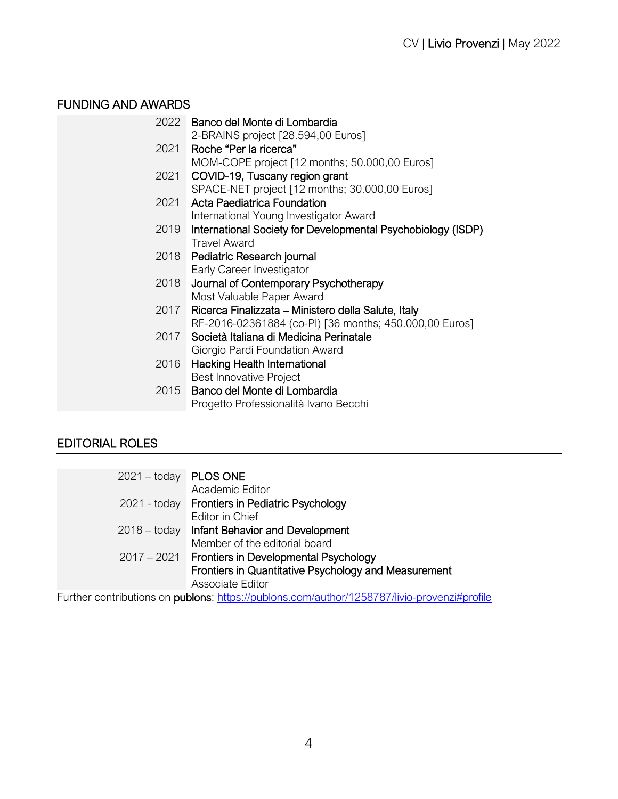# FUNDING AND AWARDS

| 2022 | Banco del Monte di Lombardia                                 |
|------|--------------------------------------------------------------|
|      | 2-BRAINS project [28.594,00 Euros]                           |
| 2021 | Roche "Per la ricerca"                                       |
|      | MOM-COPE project [12 months; 50.000,00 Euros]                |
| 2021 | COVID-19, Tuscany region grant                               |
|      | SPACE-NET project [12 months; 30.000,00 Euros]               |
| 2021 | Acta Paediatrica Foundation                                  |
|      | International Young Investigator Award                       |
| 2019 | International Society for Developmental Psychobiology (ISDP) |
|      | <b>Travel Award</b>                                          |
| 2018 | Pediatric Research journal                                   |
|      | Early Career Investigator                                    |
| 2018 | Journal of Contemporary Psychotherapy                        |
|      | Most Valuable Paper Award                                    |
| 2017 | Ricerca Finalizzata - Ministero della Salute, Italy          |
|      | RF-2016-02361884 (co-PI) [36 months; 450.000,00 Euros]       |
| 2017 | Società Italiana di Medicina Perinatale                      |
|      | Giorgio Pardi Foundation Award                               |
| 2016 | <b>Hacking Health International</b>                          |
|      | <b>Best Innovative Project</b>                               |
| 2015 | Banco del Monte di Lombardia                                 |
|      | Progetto Professionalità Ivano Becchi                        |
|      |                                                              |

# EDITORIAL ROLES

| 2021 – today PLOS ONE |                                                      |
|-----------------------|------------------------------------------------------|
|                       | Academic Editor                                      |
|                       | 2021 - today Frontiers in Pediatric Psychology       |
|                       | Editor in Chief                                      |
|                       | 2018 – today Infant Behavior and Development         |
|                       | Member of the editorial board                        |
|                       | 2017 – 2021 Frontiers in Developmental Psychology    |
|                       | Frontiers in Quantitative Psychology and Measurement |
|                       | Associate Editor                                     |
|                       |                                                      |

Further contributions on publons:<https://publons.com/author/1258787/livio-provenzi#profile>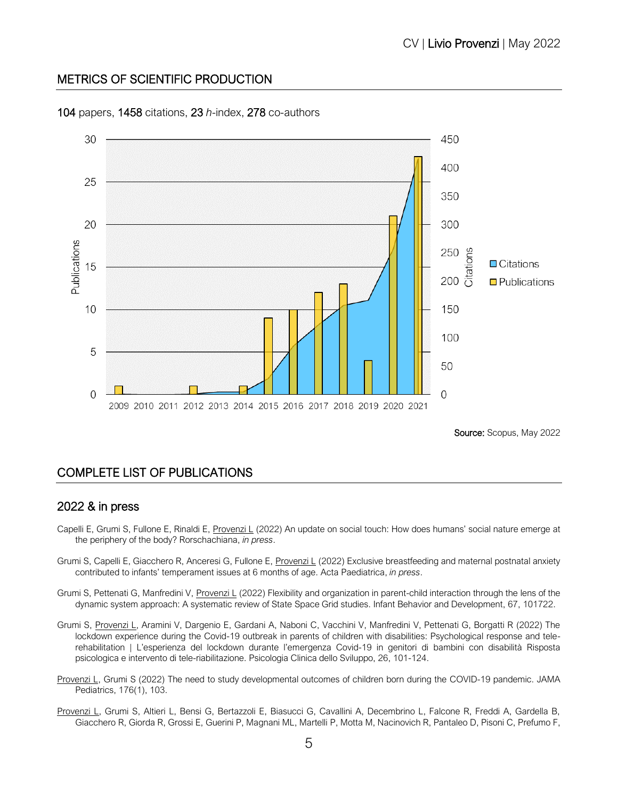#### METRICS OF SCIENTIFIC PRODUCTION



104 papers, 1458 citations, 23 *h*-index, 278 co-authors

COMPLETE LIST OF PUBLICATIONS

#### 2022 & in press

- Capelli E, Grumi S, Fullone E, Rinaldi E, Provenzi L (2022) An update on social touch: How does humans' social nature emerge at the periphery of the body? Rorschachiana, *in press*.
- Grumi S, Capelli E, Giacchero R, Anceresi G, Fullone E, Provenzi L (2022) Exclusive breastfeeding and maternal postnatal anxiety contributed to infants' temperament issues at 6 months of age. Acta Paediatrica, *in press*.
- Grumi S, Pettenati G, Manfredini V, Provenzi L (2022) Flexibility and organization in parent-child interaction through the lens of the dynamic system approach: A systematic review of State Space Grid studies. Infant Behavior and Development, 67, 101722.
- Grumi S, Provenzi L, Aramini V, Dargenio E, Gardani A, Naboni C, Vacchini V, Manfredini V, Pettenati G, Borgatti R (2022) The lockdown experience during the Covid-19 outbreak in parents of children with disabilities: Psychological response and telerehabilitation | L'esperienza del lockdown durante l'emergenza Covid-19 in genitori di bambini con disabilità Risposta psicologica e intervento di tele-riabilitazione. Psicologia Clinica dello Sviluppo, 26, 101-124.
- Provenzi L, Grumi S (2022) The need to study developmental outcomes of children born during the COVID-19 pandemic. JAMA Pediatrics, 176(1), 103.
- Provenzi L, Grumi S, Altieri L, Bensi G, Bertazzoli E, Biasucci G, Cavallini A, Decembrino L, Falcone R, Freddi A, Gardella B, Giacchero R, Giorda R, Grossi E, Guerini P, Magnani ML, Martelli P, Motta M, Nacinovich R, Pantaleo D, Pisoni C, Prefumo F,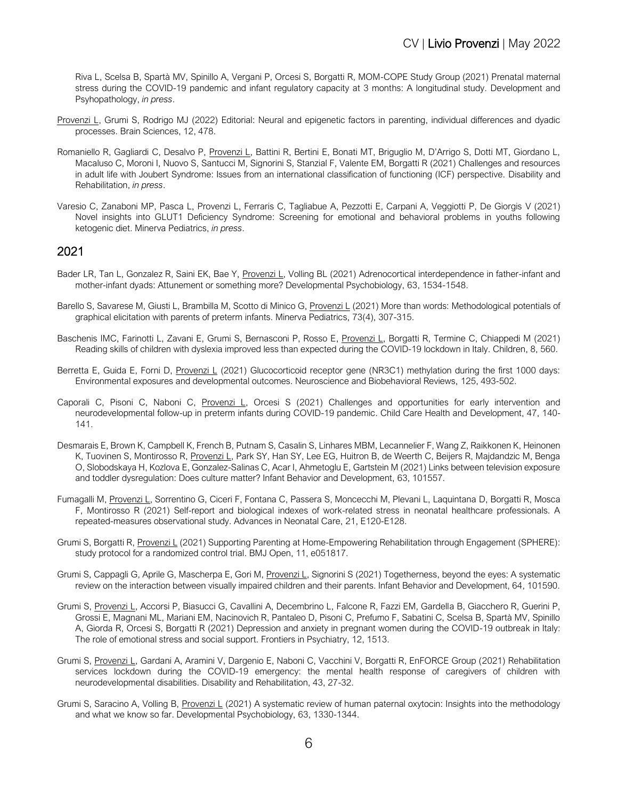Riva L, Scelsa B, Spartà MV, Spinillo A, Vergani P, Orcesi S, Borgatti R, MOM-COPE Study Group (2021) Prenatal maternal stress during the COVID-19 pandemic and infant regulatory capacity at 3 months: A longitudinal study. Development and Psyhopathology, *in press*.

- Provenzi L, Grumi S, Rodrigo MJ (2022) Editorial: Neural and epigenetic factors in parenting, individual differences and dyadic processes. Brain Sciences, 12, 478.
- Romaniello R, Gagliardi C, Desalvo P, Provenzi L, Battini R, Bertini E, Bonati MT, Briguglio M, D'Arrigo S, Dotti MT, Giordano L, Macaluso C, Moroni I, Nuovo S, Santucci M, Signorini S, Stanzial F, Valente EM, Borgatti R (2021) Challenges and resources in adult life with Joubert Syndrome: Issues from an international classification of functioning (ICF) perspective. Disability and Rehabilitation, *in press*.
- Varesio C, Zanaboni MP, Pasca L, Provenzi L, Ferraris C, Tagliabue A, Pezzotti E, Carpani A, Veggiotti P, De Giorgis V (2021) Novel insights into GLUT1 Deficiency Syndrome: Screening for emotional and behavioral problems in youths following ketogenic diet. Minerva Pediatrics, *in press*.

- Bader LR, Tan L, Gonzalez R, Saini EK, Bae Y, Provenzi L, Volling BL (2021) Adrenocortical interdependence in father-infant and mother-infant dyads: Attunement or something more? Developmental Psychobiology, 63, 1534-1548.
- Barello S, Savarese M, Giusti L, Brambilla M, Scotto di Minico G, Provenzi L (2021) More than words: Methodological potentials of graphical elicitation with parents of preterm infants. Minerva Pediatrics, 73(4), 307-315.
- Baschenis IMC, Farinotti L, Zavani E, Grumi S, Bernasconi P, Rosso E, Provenzi L, Borgatti R, Termine C, Chiappedi M (2021) Reading skills of children with dyslexia improved less than expected during the COVID-19 lockdown in Italy. Children, 8, 560.
- Berretta E, Guida E, Forni D, Provenzi L (2021) Glucocorticoid receptor gene (NR3C1) methylation during the first 1000 days: Environmental exposures and developmental outcomes. Neuroscience and Biobehavioral Reviews, 125, 493-502.
- Caporali C, Pisoni C, Naboni C, Provenzi L, Orcesi S (2021) Challenges and opportunities for early intervention and neurodevelopmental follow-up in preterm infants during COVID-19 pandemic. Child Care Health and Development, 47, 140- 141.
- Desmarais E, Brown K, Campbell K, French B, Putnam S, Casalin S, Linhares MBM, Lecannelier F, Wang Z, Raikkonen K, Heinonen K, Tuovinen S, Montirosso R, Provenzi L, Park SY, Han SY, Lee EG, Huitron B, de Weerth C, Beijers R, Majdandzic M, Benga O, Slobodskaya H, Kozlova E, Gonzalez-Salinas C, Acar I, Ahmetoglu E, Gartstein M (2021) Links between television exposure and toddler dysregulation: Does culture matter? Infant Behavior and Development, 63, 101557.
- Fumagalli M, Provenzi L, Sorrentino G, Ciceri F, Fontana C, Passera S, Moncecchi M, Plevani L, Laquintana D, Borgatti R, Mosca F, Montirosso R (2021) Self-report and biological indexes of work-related stress in neonatal healthcare professionals. A repeated-measures observational study. Advances in Neonatal Care, 21, E120-E128.
- Grumi S, Borgatti R, Provenzi L (2021) Supporting Parenting at Home-Empowering Rehabilitation through Engagement (SPHERE): study protocol for a randomized control trial. BMJ Open, 11, e051817.
- Grumi S, Cappagli G, Aprile G, Mascherpa E, Gori M, Provenzi L, Signorini S (2021) Togetherness, beyond the eyes: A systematic review on the interaction between visually impaired children and their parents. Infant Behavior and Development, 64, 101590.
- Grumi S, Provenzi L, Accorsi P, Biasucci G, Cavallini A, Decembrino L, Falcone R, Fazzi EM, Gardella B, Giacchero R, Guerini P, Grossi E, Magnani ML, Mariani EM, Nacinovich R, Pantaleo D, Pisoni C, Prefumo F, Sabatini C, Scelsa B, Spartà MV, Spinillo A, Giorda R, Orcesi S, Borgatti R (2021) Depression and anxiety in pregnant women during the COVID-19 outbreak in Italy: The role of emotional stress and social support. Frontiers in Psychiatry, 12, 1513.
- Grumi S, Provenzi L, Gardani A, Aramini V, Dargenio E, Naboni C, Vacchini V, Borgatti R, EnFORCE Group (2021) Rehabilitation services lockdown during the COVID-19 emergency: the mental health response of caregivers of children with neurodevelopmental disabilities. Disability and Rehabilitation, 43, 27-32.
- Grumi S, Saracino A, Volling B, Provenzi L (2021) A systematic review of human paternal oxytocin: Insights into the methodology and what we know so far. Developmental Psychobiology, 63, 1330-1344.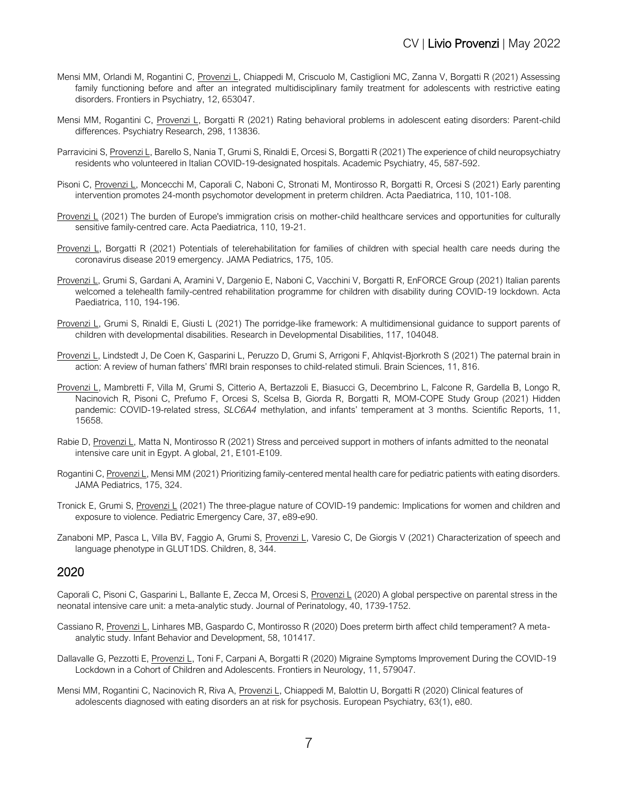- Mensi MM, Orlandi M, Rogantini C, Provenzi L, Chiappedi M, Criscuolo M, Castiglioni MC, Zanna V, Borgatti R (2021) Assessing family functioning before and after an integrated multidisciplinary family treatment for adolescents with restrictive eating disorders. Frontiers in Psychiatry, 12, 653047.
- Mensi MM, Rogantini C, Provenzi L, Borgatti R (2021) Rating behavioral problems in adolescent eating disorders: Parent-child differences. Psychiatry Research, 298, 113836.
- Parravicini S, Provenzi L, Barello S, Nania T, Grumi S, Rinaldi E, Orcesi S, Borgatti R (2021) The experience of child neuropsychiatry residents who volunteered in Italian COVID-19-designated hospitals. Academic Psychiatry, 45, 587-592.
- Pisoni C, Provenzi L, Moncecchi M, Caporali C, Naboni C, Stronati M, Montirosso R, Borgatti R, Orcesi S (2021) Early parenting intervention promotes 24-month psychomotor development in preterm children. Acta Paediatrica, 110, 101-108.
- Provenzi L (2021) The burden of Europe's immigration crisis on mother-child healthcare services and opportunities for culturally sensitive family-centred care. Acta Paediatrica, 110, 19-21.
- Provenzi L, Borgatti R (2021) Potentials of telerehabilitation for families of children with special health care needs during the coronavirus disease 2019 emergency. JAMA Pediatrics, 175, 105.
- Provenzi L, Grumi S, Gardani A, Aramini V, Dargenio E, Naboni C, Vacchini V, Borgatti R, EnFORCE Group (2021) Italian parents welcomed a telehealth family-centred rehabilitation programme for children with disability during COVID-19 lockdown. Acta Paediatrica, 110, 194-196.
- Provenzi L, Grumi S, Rinaldi E, Giusti L (2021) The porridge-like framework: A multidimensional guidance to support parents of children with developmental disabilities. Research in Developmental Disabilities, 117, 104048.
- Provenzi L, Lindstedt J, De Coen K, Gasparini L, Peruzzo D, Grumi S, Arrigoni F, Ahlqvist-Bjorkroth S (2021) The paternal brain in action: A review of human fathers' fMRI brain responses to child-related stimuli. Brain Sciences, 11, 816.
- Provenzi L, Mambretti F, Villa M, Grumi S, Citterio A, Bertazzoli E, Biasucci G, Decembrino L, Falcone R, Gardella B, Longo R, Nacinovich R, Pisoni C, Prefumo F, Orcesi S, Scelsa B, Giorda R, Borgatti R, MOM-COPE Study Group (2021) Hidden pandemic: COVID-19-related stress, *SLC6A4* methylation, and infants' temperament at 3 months. Scientific Reports, 11, 15658.
- Rabie D, Provenzi L, Matta N, Montirosso R (2021) Stress and perceived support in mothers of infants admitted to the neonatal intensive care unit in Egypt. A global, 21, E101-E109.
- Rogantini C, Provenzi L, Mensi MM (2021) Prioritizing family-centered mental health care for pediatric patients with eating disorders. JAMA Pediatrics, 175, 324.
- Tronick E, Grumi S, Provenzi L (2021) The three-plague nature of COVID-19 pandemic: Implications for women and children and exposure to violence. Pediatric Emergency Care, 37, e89-e90.
- Zanaboni MP, Pasca L, Villa BV, Faggio A, Grumi S, Provenzi L, Varesio C, De Giorgis V (2021) Characterization of speech and language phenotype in GLUT1DS. Children, 8, 344.

Caporali C, Pisoni C, Gasparini L, Ballante E, Zecca M, Orcesi S, Provenzi L (2020) A global perspective on parental stress in the neonatal intensive care unit: a meta-analytic study. Journal of Perinatology, 40, 1739-1752.

- Cassiano R, Provenzi L, Linhares MB, Gaspardo C, Montirosso R (2020) Does preterm birth affect child temperament? A metaanalytic study. Infant Behavior and Development, 58, 101417.
- Dallavalle G, Pezzotti E, Provenzi L, Toni F, Carpani A, Borgatti R (2020) Migraine Symptoms Improvement During the COVID-19 Lockdown in a Cohort of Children and Adolescents. Frontiers in Neurology, 11, 579047.
- Mensi MM, Rogantini C, Nacinovich R, Riva A, Provenzi L, Chiappedi M, Balottin U, Borgatti R (2020) Clinical features of adolescents diagnosed with eating disorders an at risk for psychosis. European Psychiatry, 63(1), e80.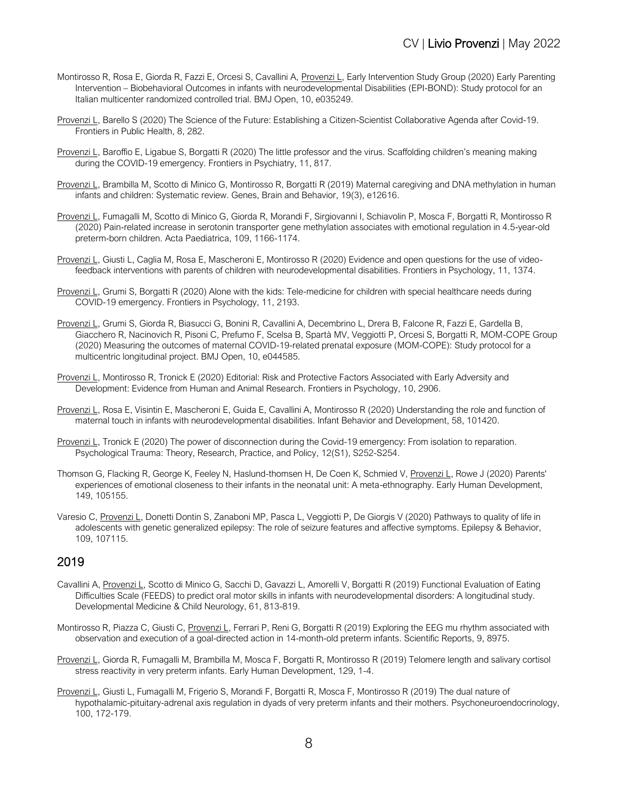- Montirosso R, Rosa E, Giorda R, Fazzi E, Orcesi S, Cavallini A, Provenzi L, Early Intervention Study Group (2020) Early Parenting Intervention – Biobehavioral Outcomes in infants with neurodevelopmental Disabilities (EPI-BOND): Study protocol for an Italian multicenter randomized controlled trial. BMJ Open, 10, e035249.
- Provenzi L, Barello S (2020) The Science of the Future: Establishing a Citizen-Scientist Collaborative Agenda after Covid-19. Frontiers in Public Health, 8, 282.
- Provenzi L, Baroffio E, Ligabue S, Borgatti R (2020) The little professor and the virus. Scaffolding children's meaning making during the COVID-19 emergency. Frontiers in Psychiatry, 11, 817.
- Provenzi L, Brambilla M, Scotto di Minico G, Montirosso R, Borgatti R (2019) Maternal caregiving and DNA methylation in human infants and children: Systematic review. Genes, Brain and Behavior, 19(3), e12616.
- Provenzi L, Fumagalli M, Scotto di Minico G, Giorda R, Morandi F, Sirgiovanni I, Schiavolin P, Mosca F, Borgatti R, Montirosso R (2020) Pain‐related increase in serotonin transporter gene methylation associates with emotional regulation in 4.5‐year‐old preterm‐born children. Acta Paediatrica, 109, 1166-1174.
- Provenzi L, Giusti L, Caglia M, Rosa E, Mascheroni E, Montirosso R (2020) Evidence and open questions for the use of videofeedback interventions with parents of children with neurodevelopmental disabilities. Frontiers in Psychology, 11, 1374.
- Provenzi L, Grumi S, Borgatti R (2020) Alone with the kids: Tele-medicine for children with special healthcare needs during COVID-19 emergency. Frontiers in Psychology, 11, 2193.
- Provenzi L, Grumi S, Giorda R, Biasucci G, Bonini R, Cavallini A, Decembrino L, Drera B, Falcone R, Fazzi E, Gardella B, Giacchero R, Nacinovich R, Pisoni C, Prefumo F, Scelsa B, Spartà MV, Veggiotti P, Orcesi S, Borgatti R, MOM-COPE Group (2020) Measuring the outcomes of maternal COVID-19-related prenatal exposure (MOM-COPE): Study protocol for a multicentric longitudinal project. BMJ Open, 10, e044585.
- Provenzi L, Montirosso R, Tronick E (2020) Editorial: Risk and Protective Factors Associated with Early Adversity and Development: Evidence from Human and Animal Research. Frontiers in Psychology, 10, 2906.
- Provenzi L, Rosa E, Visintin E, Mascheroni E, Guida E, Cavallini A, Montirosso R (2020) Understanding the role and function of maternal touch in infants with neurodevelopmental disabilities. Infant Behavior and Development, 58, 101420.
- Provenzi L, Tronick E (2020) The power of disconnection during the Covid-19 emergency: From isolation to reparation. Psychological Trauma: Theory, Research, Practice, and Policy, 12(S1), S252-S254.
- Thomson G, Flacking R, George K, Feeley N, Haslund-thomsen H, De Coen K, Schmied V, Provenzi L, Rowe J (2020) Parents' experiences of emotional closeness to their infants in the neonatal unit: A meta-ethnography. Early Human Development, 149, 105155.
- Varesio C, Provenzi L, Donetti Dontin S, Zanaboni MP, Pasca L, Veggiotti P, De Giorgis V (2020) Pathways to quality of life in adolescents with genetic generalized epilepsy: The role of seizure features and affective symptoms. Epilepsy & Behavior, 109, 107115.

- Cavallini A, Provenzi L, Scotto di Minico G, Sacchi D, Gavazzi L, Amorelli V, Borgatti R (2019) Functional Evaluation of Eating Difficulties Scale (FEEDS) to predict oral motor skills in infants with neurodevelopmental disorders: A longitudinal study. Developmental Medicine & Child Neurology, 61, 813-819.
- Montirosso R, Piazza C, Giusti C, Provenzi L, Ferrari P, Reni G, Borgatti R (2019) Exploring the EEG mu rhythm associated with observation and execution of a goal-directed action in 14-month-old preterm infants. Scientific Reports, 9, 8975.
- Provenzi L, Giorda R, Fumagalli M, Brambilla M, Mosca F, Borgatti R, Montirosso R (2019) Telomere length and salivary cortisol stress reactivity in very preterm infants. Early Human Development, 129, 1-4.
- Provenzi L, Giusti L, Fumagalli M, Frigerio S, Morandi F, Borgatti R, Mosca F, Montirosso R (2019) The dual nature of hypothalamic-pituitary-adrenal axis regulation in dyads of very preterm infants and their mothers. Psychoneuroendocrinology, 100, 172-179.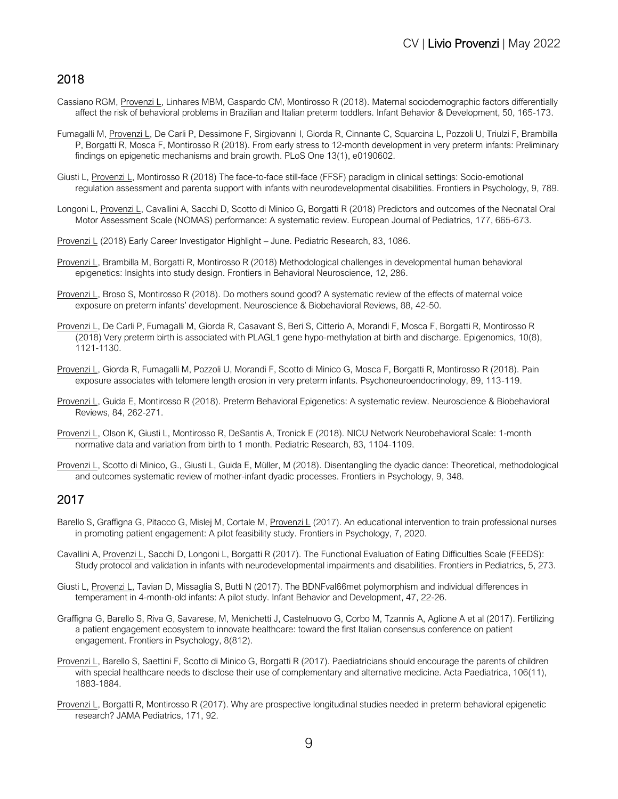- Cassiano RGM, Provenzi L, Linhares MBM, Gaspardo CM, Montirosso R (2018). Maternal sociodemographic factors differentially affect the risk of behavioral problems in Brazilian and Italian preterm toddlers. Infant Behavior & Development, 50, 165-173.
- Fumagalli M, Provenzi L, De Carli P, Dessimone F, Sirgiovanni I, Giorda R, Cinnante C, Squarcina L, Pozzoli U, Triulzi F, Brambilla P, Borgatti R, Mosca F, Montirosso R (2018). From early stress to 12-month development in very preterm infants: Preliminary findings on epigenetic mechanisms and brain growth. PLoS One 13(1), e0190602.
- Giusti L, Provenzi L, Montirosso R (2018) The face-to-face still-face (FFSF) paradigm in clinical settings: Socio-emotional regulation assessment and parenta support with infants with neurodevelopmental disabilities. Frontiers in Psychology, 9, 789.
- Longoni L, Provenzi L, Cavallini A, Sacchi D, Scotto di Minico G, Borgatti R (2018) Predictors and outcomes of the Neonatal Oral Motor Assessment Scale (NOMAS) performance: A systematic review. European Journal of Pediatrics, 177, 665-673.
- Provenzi L (2018) Early Career Investigator Highlight June. Pediatric Research, 83, 1086.
- Provenzi L, Brambilla M, Borgatti R, Montirosso R (2018) Methodological challenges in developmental human behavioral epigenetics: Insights into study design. Frontiers in Behavioral Neuroscience, 12, 286.
- Provenzi L, Broso S, Montirosso R (2018). Do mothers sound good? A systematic review of the effects of maternal voice exposure on preterm infants' development. Neuroscience & Biobehavioral Reviews, 88, 42-50.
- Provenzi L, De Carli P, Fumagalli M, Giorda R, Casavant S, Beri S, Citterio A, Morandi F, Mosca F, Borgatti R, Montirosso R (2018) Very preterm birth is associated with PLAGL1 gene hypo-methylation at birth and discharge. Epigenomics, 10(8), 1121-1130.
- Provenzi L, Giorda R, Fumagalli M, Pozzoli U, Morandi F, Scotto di Minico G, Mosca F, Borgatti R, Montirosso R (2018). Pain exposure associates with telomere length erosion in very preterm infants. Psychoneuroendocrinology, 89, 113-119.
- Provenzi L, Guida E, Montirosso R (2018). Preterm Behavioral Epigenetics: A systematic review. Neuroscience & Biobehavioral Reviews, 84, 262-271.
- Provenzi L, Olson K, Giusti L, Montirosso R, DeSantis A, Tronick E (2018). NICU Network Neurobehavioral Scale: 1-month normative data and variation from birth to 1 month. Pediatric Research, 83, 1104-1109.
- Provenzi L, Scotto di Minico, G., Giusti L, Guida E, Müller, M (2018). Disentangling the dyadic dance: Theoretical, methodological and outcomes systematic review of mother-infant dyadic processes. Frontiers in Psychology, 9, 348.

- Barello S, Graffigna G, Pitacco G, Mislej M, Cortale M, Provenzi L (2017). An educational intervention to train professional nurses in promoting patient engagement: A pilot feasibility study. Frontiers in Psychology, 7, 2020.
- Cavallini A, Provenzi L, Sacchi D, Longoni L, Borgatti R (2017). The Functional Evaluation of Eating Difficulties Scale (FEEDS): Study protocol and validation in infants with neurodevelopmental impairments and disabilities. Frontiers in Pediatrics, 5, 273.
- Giusti L, Provenzi L, Tavian D, Missaglia S, Butti N (2017). The BDNFval66met polymorphism and individual differences in temperament in 4-month-old infants: A pilot study. Infant Behavior and Development, 47, 22-26.
- Graffigna G, Barello S, Riva G, Savarese, M, Menichetti J, Castelnuovo G, Corbo M, Tzannis A, Aglione A et al (2017). Fertilizing a patient engagement ecosystem to innovate healthcare: toward the first Italian consensus conference on patient engagement. Frontiers in Psychology, 8(812).
- Provenzi L, Barello S, Saettini F, Scotto di Minico G, Borgatti R (2017). Paediatricians should encourage the parents of children with special healthcare needs to disclose their use of complementary and alternative medicine. Acta Paediatrica, 106(11), 1883-1884.
- Provenzi L, Borgatti R, Montirosso R (2017). Why are prospective longitudinal studies needed in preterm behavioral epigenetic research? JAMA Pediatrics, 171, 92.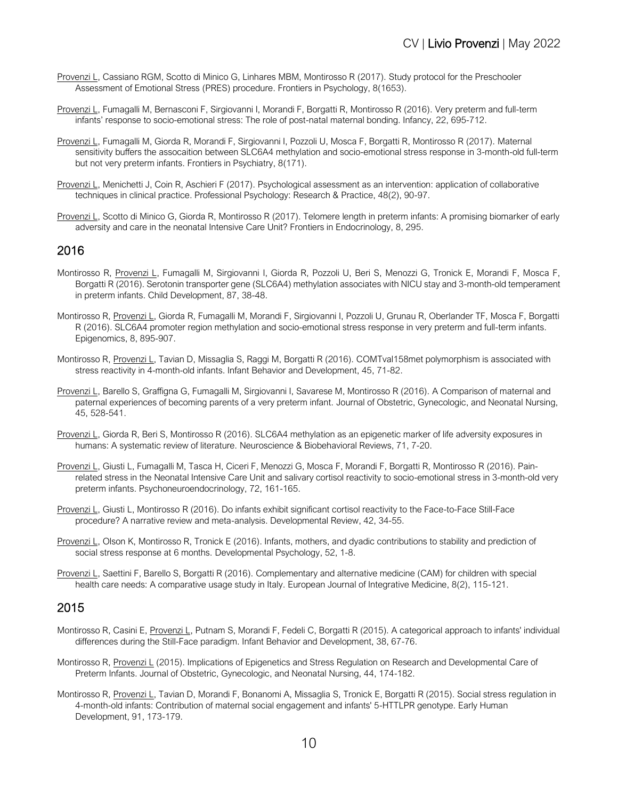- Provenzi L, Cassiano RGM, Scotto di Minico G, Linhares MBM, Montirosso R (2017). Study protocol for the Preschooler Assessment of Emotional Stress (PRES) procedure. Frontiers in Psychology, 8(1653).
- Provenzi L, Fumagalli M, Bernasconi F, Sirgiovanni I, Morandi F, Borgatti R, Montirosso R (2016). Very preterm and full-term infants' response to socio-emotional stress: The role of post-natal maternal bonding. Infancy, 22, 695-712.
- Provenzi L, Fumagalli M, Giorda R, Morandi F, Sirgiovanni I, Pozzoli U, Mosca F, Borgatti R, Montirosso R (2017). Maternal sensitivity buffers the assocaition between SLC6A4 methylation and socio-emotional stress response in 3-month-old full-term but not very preterm infants. Frontiers in Psychiatry, 8(171).
- Provenzi L, Menichetti J, Coin R, Aschieri F (2017). Psychological assessment as an intervention: application of collaborative techniques in clinical practice. Professional Psychology: Research & Practice, 48(2), 90-97.
- Provenzi L, Scotto di Minico G, Giorda R, Montirosso R (2017). Telomere length in preterm infants: A promising biomarker of early adversity and care in the neonatal Intensive Care Unit? Frontiers in Endocrinology, 8, 295.

- Montirosso R, Provenzi L, Fumagalli M, Sirgiovanni I, Giorda R, Pozzoli U, Beri S, Menozzi G, Tronick E, Morandi F, Mosca F, Borgatti R (2016). Serotonin transporter gene (SLC6A4) methylation associates with NICU stay and 3-month-old temperament in preterm infants. Child Development, 87, 38-48.
- Montirosso R, Provenzi L, Giorda R, Fumagalli M, Morandi F, Sirgiovanni I, Pozzoli U, Grunau R, Oberlander TF, Mosca F, Borgatti R (2016). SLC6A4 promoter region methylation and socio-emotional stress response in very preterm and full-term infants. Epigenomics, 8, 895-907.
- Montirosso R, Provenzi L, Tavian D, Missaglia S, Raggi M, Borgatti R (2016). COMTval158met polymorphism is associated with stress reactivity in 4-month-old infants. Infant Behavior and Development, 45, 71-82.
- Provenzi L, Barello S, Graffigna G, Fumagalli M, Sirgiovanni I, Savarese M, Montirosso R (2016). A Comparison of maternal and paternal experiences of becoming parents of a very preterm infant. Journal of Obstetric, Gynecologic, and Neonatal Nursing, 45, 528-541.
- Provenzi L, Giorda R, Beri S, Montirosso R (2016). SLC6A4 methylation as an epigenetic marker of life adversity exposures in humans: A systematic review of literature. Neuroscience & Biobehavioral Reviews, 71, 7-20.
- Provenzi L, Giusti L, Fumagalli M, Tasca H, Ciceri F, Menozzi G, Mosca F, Morandi F, Borgatti R, Montirosso R (2016). Painrelated stress in the Neonatal Intensive Care Unit and salivary cortisol reactivity to socio-emotional stress in 3-month-old very preterm infants. Psychoneuroendocrinology, 72, 161-165.
- Provenzi L, Giusti L, Montirosso R (2016). Do infants exhibit significant cortisol reactivity to the Face-to-Face Still-Face procedure? A narrative review and meta-analysis. Developmental Review, 42, 34-55.
- Provenzi L, Olson K, Montirosso R, Tronick E (2016). Infants, mothers, and dyadic contributions to stability and prediction of social stress response at 6 months. Developmental Psychology, 52, 1-8.
- Provenzi L, Saettini F, Barello S, Borgatti R (2016). Complementary and alternative medicine (CAM) for children with special health care needs: A comparative usage study in Italy. European Journal of Integrative Medicine, 8(2), 115-121.

- Montirosso R, Casini E, Provenzi L, Putnam S, Morandi F, Fedeli C, Borgatti R (2015). A categorical approach to infants' individual differences during the Still-Face paradigm. Infant Behavior and Development, 38, 67-76.
- Montirosso R, Provenzi L (2015). Implications of Epigenetics and Stress Regulation on Research and Developmental Care of Preterm Infants. Journal of Obstetric, Gynecologic, and Neonatal Nursing, 44, 174-182.
- Montirosso R, Provenzi L, Tavian D, Morandi F, Bonanomi A, Missaglia S, Tronick E, Borgatti R (2015). Social stress regulation in 4-month-old infants: Contribution of maternal social engagement and infants' 5-HTTLPR genotype. Early Human Development, 91, 173-179.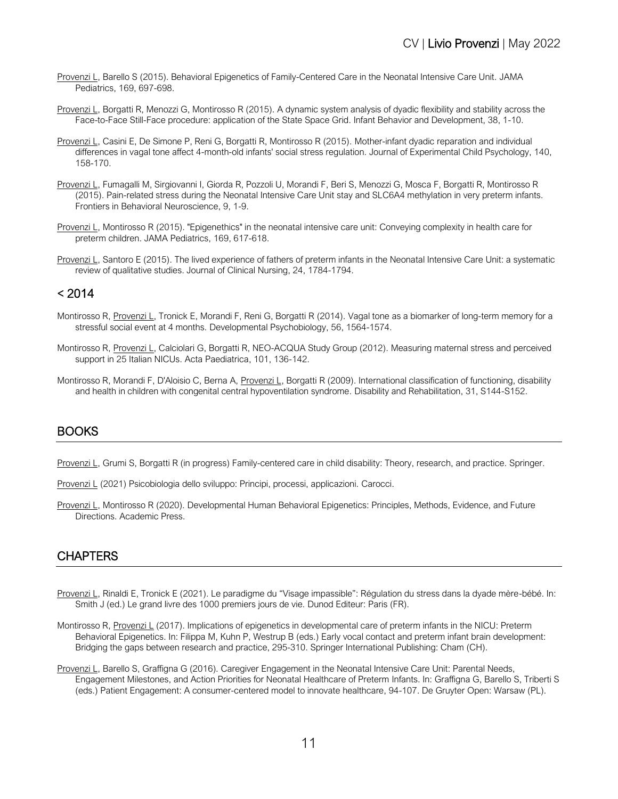- Provenzi L, Barello S (2015). Behavioral Epigenetics of Family-Centered Care in the Neonatal Intensive Care Unit. JAMA Pediatrics, 169, 697-698.
- Provenzi L, Borgatti R, Menozzi G, Montirosso R (2015). A dynamic system analysis of dyadic flexibility and stability across the Face-to-Face Still-Face procedure: application of the State Space Grid. Infant Behavior and Development, 38, 1-10.
- Provenzi L, Casini E, De Simone P, Reni G, Borgatti R, Montirosso R (2015). Mother-infant dyadic reparation and individual differences in vagal tone affect 4-month-old infants' social stress regulation. Journal of Experimental Child Psychology, 140, 158-170.
- Provenzi L, Fumagalli M, Sirgiovanni I, Giorda R, Pozzoli U, Morandi F, Beri S, Menozzi G, Mosca F, Borgatti R, Montirosso R (2015). Pain-related stress during the Neonatal Intensive Care Unit stay and SLC6A4 methylation in very preterm infants. Frontiers in Behavioral Neuroscience, 9, 1-9.
- Provenzi L, Montirosso R (2015). "Epigenethics" in the neonatal intensive care unit: Conveying complexity in health care for preterm children. JAMA Pediatrics, 169, 617-618.
- Provenzi L, Santoro E (2015). The lived experience of fathers of preterm infants in the Neonatal Intensive Care Unit: a systematic review of qualitative studies. Journal of Clinical Nursing, 24, 1784-1794.

#### $< 2014$

- Montirosso R, Provenzi L, Tronick E, Morandi F, Reni G, Borgatti R (2014). Vagal tone as a biomarker of long-term memory for a stressful social event at 4 months. Developmental Psychobiology, 56, 1564-1574.
- Montirosso R, Provenzi L, Calciolari G, Borgatti R, NEO-ACQUA Study Group (2012). Measuring maternal stress and perceived support in 25 Italian NICUs. Acta Paediatrica, 101, 136-142.
- Montirosso R, Morandi F, D'Aloisio C, Berna A, Provenzi L, Borgatti R (2009). International classification of functioning, disability and health in children with congenital central hypoventilation syndrome. Disability and Rehabilitation, 31, S144-S152.

#### **BOOKS**

- Provenzi L, Grumi S, Borgatti R (in progress) Family-centered care in child disability: Theory, research, and practice. Springer.
- Provenzi L (2021) Psicobiologia dello sviluppo: Principi, processi, applicazioni. Carocci.
- Provenzi L, Montirosso R (2020). Developmental Human Behavioral Epigenetics: Principles, Methods, Evidence, and Future Directions. Academic Press.

#### **CHAPTERS**

- Provenzi L, Rinaldi E, Tronick E (2021). Le paradigme du "Visage impassible": Régulation du stress dans la dyade mère-bébé. In: Smith J (ed.) Le grand livre des 1000 premiers jours de vie. Dunod Editeur: Paris (FR).
- Montirosso R, Provenzi L (2017). Implications of epigenetics in developmental care of preterm infants in the NICU: Preterm Behavioral Epigenetics. In: Filippa M, Kuhn P, Westrup B (eds.) Early vocal contact and preterm infant brain development: Bridging the gaps between research and practice, 295-310. Springer International Publishing: Cham (CH).
- Provenzi L, Barello S, Graffigna G (2016). Caregiver Engagement in the Neonatal Intensive Care Unit: Parental Needs, Engagement Milestones, and Action Priorities for Neonatal Healthcare of Preterm Infants. In: Graffigna G, Barello S, Triberti S (eds.) Patient Engagement: A consumer-centered model to innovate healthcare, 94-107. De Gruyter Open: Warsaw (PL).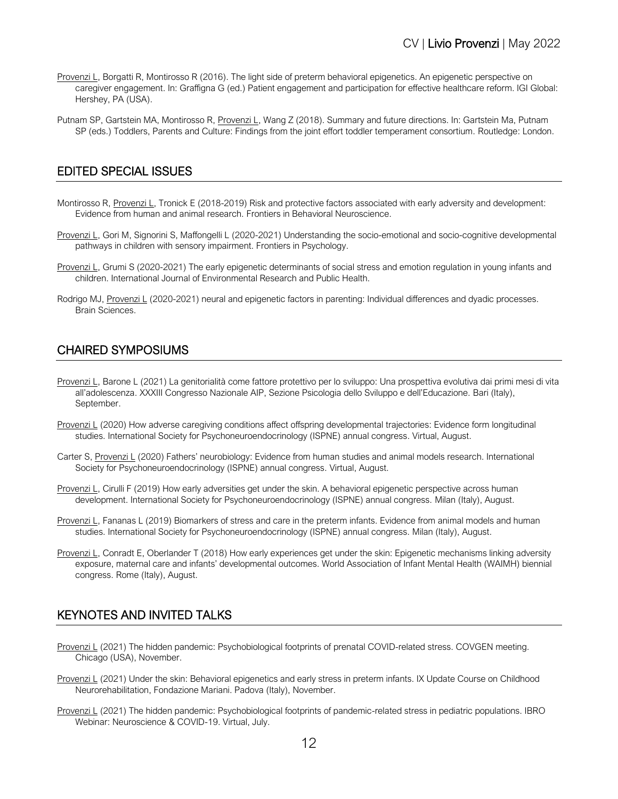- Provenzi L, Borgatti R, Montirosso R (2016). The light side of preterm behavioral epigenetics. An epigenetic perspective on caregiver engagement. In: Graffigna G (ed.) Patient engagement and participation for effective healthcare reform. IGI Global: Hershey, PA (USA).
- Putnam SP, Gartstein MA, Montirosso R, Provenzi L, Wang Z (2018). Summary and future directions. In: Gartstein Ma, Putnam SP (eds.) Toddlers, Parents and Culture: Findings from the joint effort toddler temperament consortium. Routledge: London.

#### EDITED SPECIAL ISSUES

- Montirosso R, Provenzi L, Tronick E (2018-2019) Risk and protective factors associated with early adversity and development: Evidence from human and animal research. Frontiers in Behavioral Neuroscience.
- Provenzi L, Gori M, Signorini S, Maffongelli L (2020-2021) Understanding the socio-emotional and socio-cognitive developmental pathways in children with sensory impairment. Frontiers in Psychology.
- Provenzi L, Grumi S (2020-2021) The early epigenetic determinants of social stress and emotion regulation in young infants and children. International Journal of Environmental Research and Public Health.
- Rodrigo MJ, Provenzi L (2020-2021) neural and epigenetic factors in parenting: Individual differences and dyadic processes. Brain Sciences.

### CHAIRED SYMPOSIUMS

- Provenzi L, Barone L (2021) La genitorialità come fattore protettivo per lo sviluppo: Una prospettiva evolutiva dai primi mesi di vita all'adolescenza. XXXIII Congresso Nazionale AIP, Sezione Psicologia dello Sviluppo e dell'Educazione. Bari (Italy), September.
- Provenzi L (2020) How adverse caregiving conditions affect offspring developmental trajectories: Evidence form longitudinal studies. International Society for Psychoneuroendocrinology (ISPNE) annual congress. Virtual, August.
- Carter S, Provenzi L (2020) Fathers' neurobiology: Evidence from human studies and animal models research. International Society for Psychoneuroendocrinology (ISPNE) annual congress. Virtual, August.
- Provenzi L, Cirulli F (2019) How early adversities get under the skin. A behavioral epigenetic perspective across human development. International Society for Psychoneuroendocrinology (ISPNE) annual congress. Milan (Italy), August.
- Provenzi L, Fananas L (2019) Biomarkers of stress and care in the preterm infants. Evidence from animal models and human studies. International Society for Psychoneuroendocrinology (ISPNE) annual congress. Milan (Italy), August.
- Provenzi L, Conradt E, Oberlander T (2018) How early experiences get under the skin: Epigenetic mechanisms linking adversity exposure, maternal care and infants' developmental outcomes. World Association of Infant Mental Health (WAIMH) biennial congress. Rome (Italy), August.

# KEYNOTES AND INVITED TALKS

- Provenzi L (2021) The hidden pandemic: Psychobiological footprints of prenatal COVID-related stress. COVGEN meeting. Chicago (USA), November.
- Provenzi L (2021) Under the skin: Behavioral epigenetics and early stress in preterm infants. IX Update Course on Childhood Neurorehabilitation, Fondazione Mariani. Padova (Italy), November.
- Provenzi L (2021) The hidden pandemic: Psychobiological footprints of pandemic-related stress in pediatric populations. IBRO Webinar: Neuroscience & COVID-19. Virtual, July.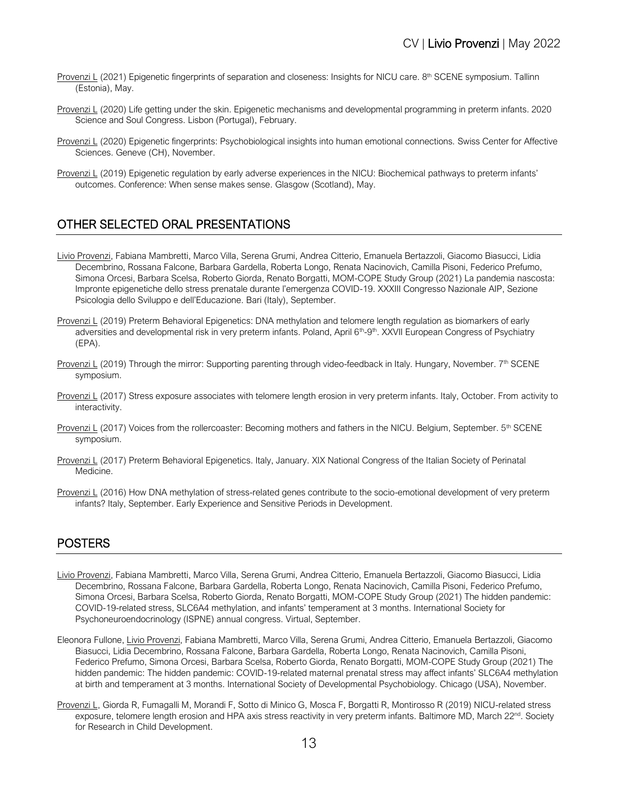- Provenzi L (2021) Epigenetic fingerprints of separation and closeness: Insights for NICU care. 8<sup>th</sup> SCENE symposium. Tallinn (Estonia), May.
- Provenzi L (2020) Life getting under the skin. Epigenetic mechanisms and developmental programming in preterm infants. 2020 Science and Soul Congress. Lisbon (Portugal), February.
- Provenzi L (2020) Epigenetic fingerprints: Psychobiological insights into human emotional connections. Swiss Center for Affective Sciences. Geneve (CH), November.
- Provenzi L (2019) Epigenetic regulation by early adverse experiences in the NICU: Biochemical pathways to preterm infants' outcomes. Conference: When sense makes sense. Glasgow (Scotland), May.

### OTHER SELECTED ORAL PRESENTATIONS

- Livio Provenzi, Fabiana Mambretti, Marco Villa, Serena Grumi, Andrea Citterio, Emanuela Bertazzoli, Giacomo Biasucci, Lidia Decembrino, Rossana Falcone, Barbara Gardella, Roberta Longo, Renata Nacinovich, Camilla Pisoni, Federico Prefumo, Simona Orcesi, Barbara Scelsa, Roberto Giorda, Renato Borgatti, MOM-COPE Study Group (2021) La pandemia nascosta: Impronte epigenetiche dello stress prenatale durante l'emergenza COVID-19. XXXIII Congresso Nazionale AIP, Sezione Psicologia dello Sviluppo e dell'Educazione. Bari (Italy), September.
- Provenzi L (2019) Preterm Behavioral Epigenetics: DNA methylation and telomere length regulation as biomarkers of early adversities and developmental risk in very preterm infants. Poland, April 6<sup>th</sup>-9<sup>th</sup>. XXVII European Congress of Psychiatry (EPA).
- Provenzi L (2019) Through the mirror: Supporting parenting through video-feedback in Italy. Hungary, November.  $7<sup>th</sup>$  SCENE symposium.
- Provenzi L (2017) Stress exposure associates with telomere length erosion in very preterm infants. Italy, October. From activity to interactivity.
- Provenzi L (2017) Voices from the rollercoaster: Becoming mothers and fathers in the NICU. Belgium, September. 5<sup>th</sup> SCENE symposium.
- Provenzi L (2017) Preterm Behavioral Epigenetics. Italy, January. XIX National Congress of the Italian Society of Perinatal Medicine.
- Provenzi L (2016) How DNA methylation of stress-related genes contribute to the socio-emotional development of very preterm infants? Italy, September. Early Experience and Sensitive Periods in Development.

### POSTERS

- Livio Provenzi, Fabiana Mambretti, Marco Villa, Serena Grumi, Andrea Citterio, Emanuela Bertazzoli, Giacomo Biasucci, Lidia Decembrino, Rossana Falcone, Barbara Gardella, Roberta Longo, Renata Nacinovich, Camilla Pisoni, Federico Prefumo, Simona Orcesi, Barbara Scelsa, Roberto Giorda, Renato Borgatti, MOM-COPE Study Group (2021) The hidden pandemic: COVID-19-related stress, SLC6A4 methylation, and infants' temperament at 3 months. International Society for Psychoneuroendocrinology (ISPNE) annual congress. Virtual, September.
- Eleonora Fullone, Livio Provenzi, Fabiana Mambretti, Marco Villa, Serena Grumi, Andrea Citterio, Emanuela Bertazzoli, Giacomo Biasucci, Lidia Decembrino, Rossana Falcone, Barbara Gardella, Roberta Longo, Renata Nacinovich, Camilla Pisoni, Federico Prefumo, Simona Orcesi, Barbara Scelsa, Roberto Giorda, Renato Borgatti, MOM-COPE Study Group (2021) The hidden pandemic: The hidden pandemic: COVID-19-related maternal prenatal stress may affect infants' SLC6A4 methylation at birth and temperament at 3 months. International Society of Developmental Psychobiology. Chicago (USA), November.
- Provenzi L, Giorda R, Fumagalli M, Morandi F, Sotto di Minico G, Mosca F, Borgatti R, Montirosso R (2019) NICU-related stress exposure, telomere length erosion and HPA axis stress reactivity in very preterm infants. Baltimore MD, March 22<sup>nd</sup>. Society for Research in Child Development.